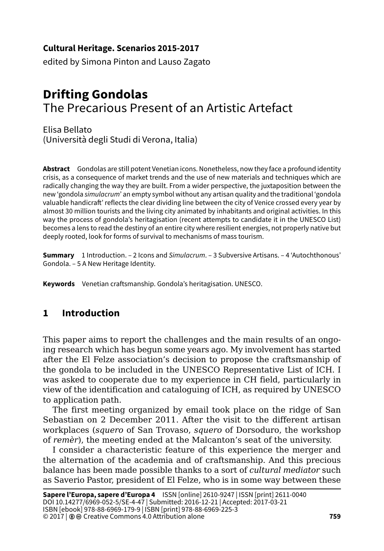#### **Cultural Heritage. Scenarios 2015-2017**

edited by Simona Pinton and Lauso Zagato

# **Drifting Gondolas** The Precarious Present of an Artistic Artefact

Elisa Bellato (Università degli Studi di Verona, Italia)

**Abstract** Gondolas are still potent Venetian icons. Nonetheless, now they face a profound identity crisis, as a consequence of market trends and the use of new materials and techniques which are radically changing the way they are built. From a wider perspective, the juxtaposition between the new 'gondola *simulacrum*' an empty symbol without any artisan quality and the traditional 'gondola valuable handicraft' reflects the clear dividing line between the city of Venice crossed every year by almost 30 million tourists and the living city animated by inhabitants and original activities. In this way the process of gondola's heritagisation (recent attempts to candidate it in the UNESCO List) becomes a lens to read the destiny of an entire city where resilient energies, not properly native but deeply rooted, look for forms of survival to mechanisms of mass tourism.

**Summary** 1 Introduction. – 2 Icons and *Simulacrum*. – 3 Subversive Artisans. – 4 'Autochthonous' Gondola. – 5 A New Heritage Identity.

**Keywords** Venetian craftsmanship. Gondola's heritagisation. UNESCO.

## **1 Introduction**

This paper aims to report the challenges and the main results of an ongoing research which has begun some years ago. My involvement has started after the El Felze association's decision to propose the craftsmanship of the gondola to be included in the UNESCO Representative List of ICH. I was asked to cooperate due to my experience in CH field, particularly in view of the identification and cataloguing of ICH, as required by UNESCO to application path.

The first meeting organized by email took place on the ridge of San Sebastian on 2 December 2011. After the visit to the different artisan workplaces (*squero* of San Trovaso, *squero* of Dorsoduro, the workshop of *remèr*), the meeting ended at the Malcanton's seat of the university.

I consider a characteristic feature of this experience the merger and the alternation of the academia and of craftsmanship. And this precious balance has been made possible thanks to a sort of *cultural mediator* such as Saverio Pastor, president of El Felze, who is in some way between these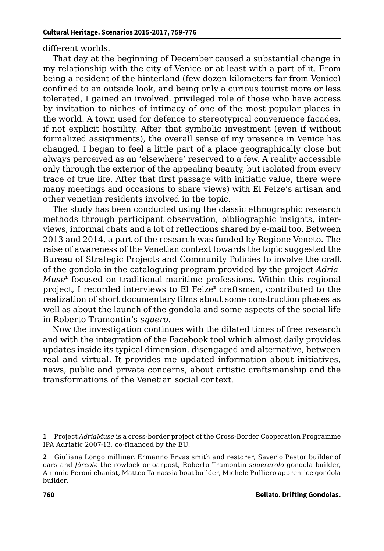different worlds.

That day at the beginning of December caused a substantial change in my relationship with the city of Venice or at least with a part of it. From being a resident of the hinterland (few dozen kilometers far from Venice) confined to an outside look, and being only a curious tourist more or less tolerated, I gained an involved, privileged role of those who have access by invitation to niches of intimacy of one of the most popular places in the world. A town used for defence to stereotypical convenience facades, if not explicit hostility. After that symbolic investment (even if without formalized assignments), the overall sense of my presence in Venice has changed. I began to feel a little part of a place geographically close but always perceived as an 'elsewhere' reserved to a few. A reality accessible only through the exterior of the appealing beauty, but isolated from every trace of true life. After that first passage with initiatic value, there were many meetings and occasions to share views) with El Felze's artisan and other venetian residents involved in the topic.

The study has been conducted using the classic ethnographic research methods through participant observation, bibliographic insights, interviews, informal chats and a lot of reflections shared by e-mail too. Between 2013 and 2014, a part of the research was funded by Regione Veneto. The raise of awareness of the Venetian context towards the topic suggested the Bureau of Strategic Projects and Community Policies to involve the craft of the gondola in the cataloguing program provided by the project *Adria-Muse***<sup>1</sup>** focused on traditional maritime professions. Within this regional project, I recorded interviews to El Felze**<sup>2</sup>** craftsmen, contributed to the realization of short documentary films about some construction phases as well as about the launch of the gondola and some aspects of the social life in Roberto Tramontin's *squero*.

Now the investigation continues with the dilated times of free research and with the integration of the Facebook tool which almost daily provides updates inside its typical dimension, disengaged and alternative, between real and virtual. It provides me updated information about initiatives, news, public and private concerns, about artistic craftsmanship and the transformations of the Venetian social context.

**<sup>1</sup>** Project *AdriaMuse* is a cross-border project of the Cross-Border Cooperation Programme IPA Adriatic 2007-13, co-financed by the EU.

**<sup>2</sup>** Giuliana Longo milliner, Ermanno Ervas smith and restorer, Saverio Pastor builder of oars and *fórcole* the rowlock or oarpost, Roberto Tramontin *squerarolo* gondola builder, Antonio Peroni ebanist, Matteo Tamassia boat builder, Michele Pulliero apprentice gondola builder.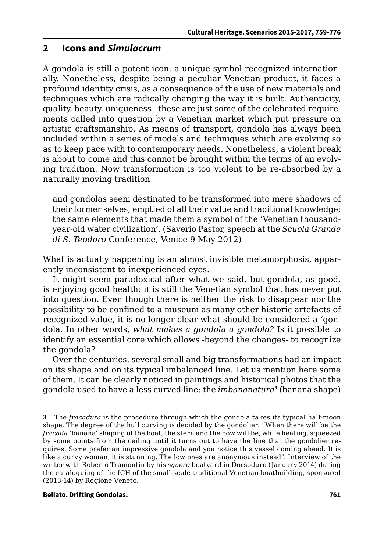#### **2 Icons and** *Simulacrum*

A gondola is still a potent icon, a unique symbol recognized internationally. Nonetheless, despite being a peculiar Venetian product, it faces a profound identity crisis, as a consequence of the use of new materials and techniques which are radically changing the way it is built. Authenticity, quality, beauty, uniqueness - these are just some of the celebrated requirements called into question by a Venetian market which put pressure on artistic craftsmanship. As means of transport, gondola has always been included within a series of models and techniques which are evolving so as to keep pace with to contemporary needs. Nonetheless, a violent break is about to come and this cannot be brought within the terms of an evolving tradition. Now transformation is too violent to be re-absorbed by a naturally moving tradition

and gondolas seem destinated to be transformed into mere shadows of their former selves, emptied of all their value and traditional knowledge; the same elements that made them a symbol of the 'Venetian thousandyear-old water civilization'. (Saverio Pastor, speech at the *Scuola Grande di S. Teodoro* Conference, Venice 9 May 2012)

What is actually happening is an almost invisible metamorphosis, apparently inconsistent to inexperienced eyes.

It might seem paradoxical after what we said, but gondola, as good, is enjoying good health: it is still the Venetian symbol that has never put into question. Even though there is neither the risk to disappear nor the possibility to be confined to a museum as many other historic artefacts of recognized value, it is no longer clear what should be considered a 'gondola. In other words, *what makes a gondola a gondola?* Is it possible to identify an essential core which allows -beyond the changes- to recognize the gondola?

Over the centuries, several small and big transformations had an impact on its shape and on its typical imbalanced line. Let us mention here some of them. It can be clearly noticed in paintings and historical photos that the gondola used to have a less curved line: the *imbananatura***<sup>3</sup>** (banana shape)

**3** The *fracadura* is the procedure through which the gondola takes its typical half-moon shape. The degree of the hull curving is decided by the gondolier. "When there will be the *fracada* 'banana' shaping of the boat, the stern and the bow will be, while heating, squeezed by some points from the ceiling until it turns out to have the line that the gondolier requires. Some prefer an impressive gondola and you notice this vessel coming ahead. It is like a curvy woman, it is stunning. The low ones are anonymous instead". Interview of the writer with Roberto Tramontin by his *squero* boatyard in Dorsoduro (January 2014) during the cataloguing of the ICH of the small-scale traditional Venetian boatbuilding, sponsored (2013-14) by Regione Veneto.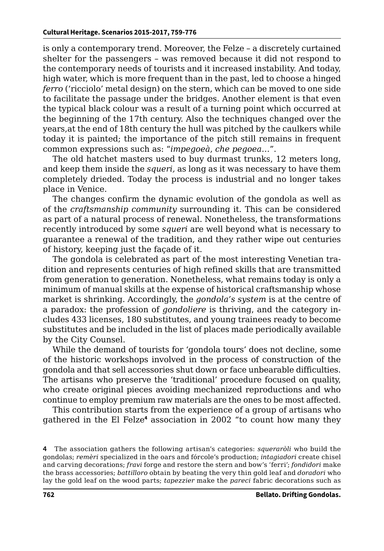is only a contemporary trend. Moreover, the Felze – a discretely curtained shelter for the passengers – was removed because it did not respond to the contemporary needs of tourists and it increased instability. And today, high water, which is more frequent than in the past, led to choose a hinged *ferro* ('ricciolo' metal design) on the stern, which can be moved to one side to facilitate the passage under the bridges. Another element is that even the typical black colour was a result of a turning point which occurred at the beginning of the 17th century. Also the techniques changed over the years,at the end of 18th century the hull was pitched by the caulkers while today it is painted; the importance of the pitch still remains in frequent common expressions such as: "*impegoeà*, *che pegoea…*".

The old hatchet masters used to buy durmast trunks, 12 meters long, and keep them inside the *squeri,* as long as it was necessary to have them completely drieded. Today the process is industrial and no longer takes place in Venice.

The changes confirm the dynamic evolution of the gondola as well as of the *craftsmanship community* surrounding it. This can be considered as part of a natural process of renewal. Nonetheless, the transformations recently introduced by some *squeri* are well beyond what is necessary to guarantee a renewal of the tradition, and they rather wipe out centuries of history, keeping just the façade of it.

The gondola is celebrated as part of the most interesting Venetian tradition and represents centuries of high refined skills that are transmitted from generation to generation. Nonetheless, what remains today is only a minimum of manual skills at the expense of historical craftsmanship whose market is shrinking. Accordingly, the *gondola's system* is at the centre of a paradox: the profession of *gondoliere* is thriving, and the category includes 433 licenses, 180 substitutes, and young trainees ready to become substitutes and be included in the list of places made periodically available by the City Counsel.

While the demand of tourists for 'gondola tours' does not decline, some of the historic workshops involved in the process of construction of the gondola and that sell accessories shut down or face unbearable difficulties. The artisans who preserve the 'traditional' procedure focused on quality, who create original pieces avoiding mechanized reproductions and who continue to employ premium raw materials are the ones to be most affected.

This contribution starts from the experience of a group of artisans who gathered in the El Felze**<sup>4</sup>** association in 2002 "to count how many they

**<sup>4</sup>** The association gathers the following artisan's categories: *squeraròli* who build the gondolas; *remèri* specialized in the oars and fórcole's production; *intagiadori* create chisel and carving decorations; *fravi* forge and restore the stern and bow's 'ferri'; *fondidori* make the brass accessories; *battilloro* obtain by beating the very thin gold leaf and *doradori* who lay the gold leaf on the wood parts; *tapezzier* make the *pareci* fabric decorations such as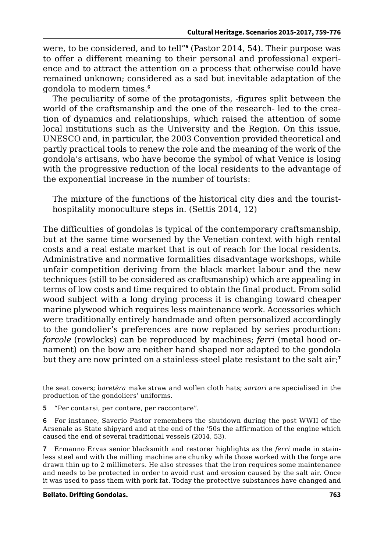were, to be considered, and to tell"**<sup>5</sup>** (Pastor 2014, 54). Their purpose was to offer a different meaning to their personal and professional experience and to attract the attention on a process that otherwise could have remained unknown; considered as a sad but inevitable adaptation of the gondola to modern times.**<sup>6</sup>**

The peculiarity of some of the protagonists, -figures split between the world of the craftsmanship and the one of the research- led to the creation of dynamics and relationships, which raised the attention of some local institutions such as the University and the Region. On this issue, UNESCO and, in particular, the 2003 Convention provided theoretical and partly practical tools to renew the role and the meaning of the work of the gondola's artisans, who have become the symbol of what Venice is losing with the progressive reduction of the local residents to the advantage of the exponential increase in the number of tourists:

The mixture of the functions of the historical city dies and the touristhospitality monoculture steps in. (Settis 2014, 12)

The difficulties of gondolas is typical of the contemporary craftsmanship, but at the same time worsened by the Venetian context with high rental costs and a real estate market that is out of reach for the local residents. Administrative and normative formalities disadvantage workshops, while unfair competition deriving from the black market labour and the new techniques (still to be considered as craftsmanship) which are appealing in terms of low costs and time required to obtain the final product. From solid wood subject with a long drying process it is changing toward cheaper marine plywood which requires less maintenance work. Accessories which were traditionally entirely handmade and often personalized accordingly to the gondolier's preferences are now replaced by series production: *forcole* (rowlocks) can be reproduced by machines; *ferri* (metal hood ornament) on the bow are neither hand shaped nor adapted to the gondola but they are now printed on a stainless-steel plate resistant to the salt air;**<sup>7</sup>**

the seat covers; *baretèra* make straw and wollen cloth hats; *sartori* are specialised in the production of the gondoliers' uniforms.

**5** "Per contarsi, per contare, per raccontare".

**6** For instance, Saverio Pastor remembers the shutdown during the post WWII of the Arsenale as State shipyard and at the end of the '50s the affirmation of the engine which caused the end of several traditional vessels (2014, 53).

**7** Ermanno Ervas senior blacksmith and restorer highlights as the *ferri* made in stainless steel and with the milling machine are chunky while those worked with the forge are drawn thin up to 2 millimeters. He also stresses that the iron requires some maintenance and needs to be protected in order to avoid rust and erosion caused by the salt air. Once it was used to pass them with pork fat. Today the protective substances have changed and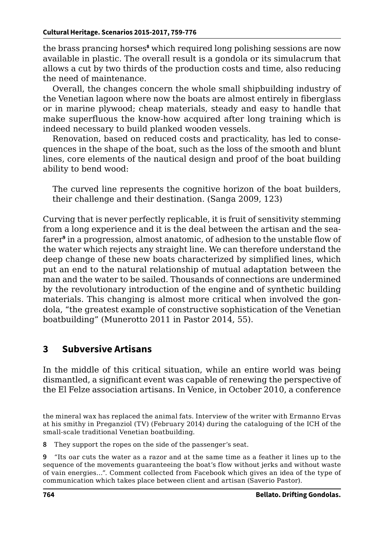the brass prancing horses**<sup>8</sup>** which required long polishing sessions are now available in plastic. The overall result is a gondola or its simulacrum that allows a cut by two thirds of the production costs and time, also reducing the need of maintenance.

Overall, the changes concern the whole small shipbuilding industry of the Venetian lagoon where now the boats are almost entirely in fiberglass or in marine plywood; cheap materials, steady and easy to handle that make superfluous the know-how acquired after long training which is indeed necessary to build planked wooden vessels.

Renovation, based on reduced costs and practicality, has led to consequences in the shape of the boat, such as the loss of the smooth and blunt lines, core elements of the nautical design and proof of the boat building ability to bend wood:

The curved line represents the cognitive horizon of the boat builders, their challenge and their destination. (Sanga 2009, 123)

Curving that is never perfectly replicable, it is fruit of sensitivity stemming from a long experience and it is the deal between the artisan and the seafarer**<sup>9</sup>** in a progression, almost anatomic, of adhesion to the unstable flow of the water which rejects any straight line. We can therefore understand the deep change of these new boats characterized by simplified lines, which put an end to the natural relationship of mutual adaptation between the man and the water to be sailed. Thousands of connections are undermined by the revolutionary introduction of the engine and of synthetic building materials. This changing is almost more critical when involved the gondola, "the greatest example of constructive sophistication of the Venetian boatbuilding" (Munerotto 2011 in Pastor 2014, 55).

## **3 Subversive Artisans**

In the middle of this critical situation, while an entire world was being dismantled, a significant event was capable of renewing the perspective of the El Felze association artisans. In Venice, in October 2010, a conference

**8** They support the ropes on the side of the passenger's seat.

**9** "Its oar cuts the water as a razor and at the same time as a feather it lines up to the sequence of the movements guaranteeing the boat's flow without jerks and without waste of vain energies…". Comment collected from Facebook which gives an idea of the type of communication which takes place between client and artisan (Saverio Pastor).

the mineral wax has replaced the animal fats. Interview of the writer with Ermanno Ervas at his smithy in Preganziol (TV) (February 2014) during the cataloguing of the ICH of the small-scale traditional Venetian boatbuilding.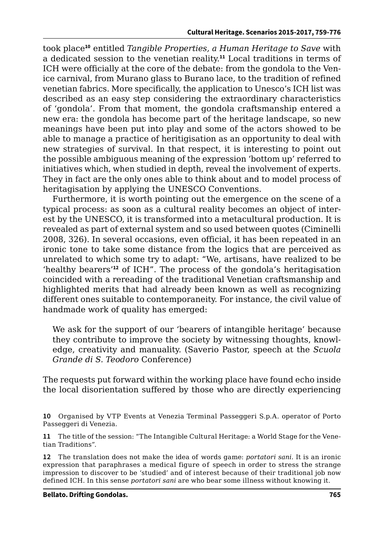took place**<sup>10</sup>** entitled *Tangible Properties, a Human Heritage to Save* with a dedicated session to the venetian reality.**<sup>11</sup>** Local traditions in terms of ICH were officially at the core of the debate: from the gondola to the Venice carnival, from Murano glass to Burano lace, to the tradition of refined venetian fabrics. More specifically, the application to Unesco's ICH list was described as an easy step considering the extraordinary characteristics of 'gondola'. From that moment, the gondola craftsmanship entered a new era: the gondola has become part of the heritage landscape, so new meanings have been put into play and some of the actors showed to be able to manage a practice of heritigisation as an opportunity to deal with new strategies of survival. In that respect, it is interesting to point out the possible ambiguous meaning of the expression 'bottom up' referred to initiatives which, when studied in depth, reveal the involvement of experts. They in fact are the only ones able to think about and to model process of heritagisation by applying the UNESCO Conventions.

Furthermore, it is worth pointing out the emergence on the scene of a typical process: as soon as a cultural reality becomes an object of interest by the UNESCO, it is transformed into a metacultural production. It is revealed as part of external system and so used between quotes (Ciminelli 2008, 326). In several occasions, even official, it has been repeated in an ironic tone to take some distance from the logics that are perceived as unrelated to which some try to adapt: "We, artisans, have realized to be 'healthy bearers'**<sup>12</sup>** of ICH". The process of the gondola's heritagisation coincided with a rereading of the traditional Venetian craftsmanship and highlighted merits that had already been known as well as recognizing different ones suitable to contemporaneity. For instance, the civil value of handmade work of quality has emerged:

We ask for the support of our 'bearers of intangible heritage' because they contribute to improve the society by witnessing thoughts, knowledge, creativity and manuality. (Saverio Pastor, speech at the *Scuola Grande di S. Teodoro* Conference)

The requests put forward within the working place have found echo inside the local disorientation suffered by those who are directly experiencing

**<sup>10</sup>** Organised by VTP Events at Venezia Terminal Passeggeri S.p.A. operator of Porto Passeggeri di Venezia.

**<sup>11</sup>** The title of the session: "The Intangible Cultural Heritage: a World Stage for the Venetian Traditions".

**<sup>12</sup>** The translation does not make the idea of words game: *portatori sani*. It is an ironic expression that paraphrases a medical figure of speech in order to stress the strange impression to discover to be 'studied' and of interest because of their traditional job now defined ICH. In this sense *portatori sani* are who bear some illness without knowing it.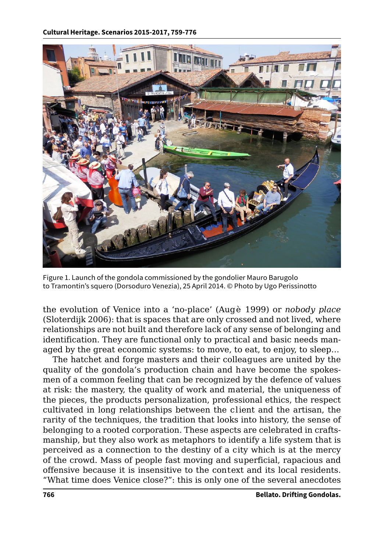

Figure 1. Launch of the gondola commissioned by the gondolier Mauro Barugolo to Tramontin's squero (Dorsoduro Venezia), 25 April 2014. © Photo by Ugo Perissinotto

the evolution of Venice into a 'no-place' (Augè 1999) or *nobody place*  (Sloterdijk 2006): that is spaces that are only crossed and not lived, where relationships are not built and therefore lack of any sense of belonging and identification. They are functional only to practical and basic needs managed by the great economic systems: to move, to eat, to enjoy, to sleep…

The hatchet and forge masters and their colleagues are united by the quality of the gondola's production chain and have become the spokesmen of a common feeling that can be recognized by the defence of values at risk: the mastery, the quality of work and material, the uniqueness of the pieces, the products personalization, professional ethics, the respect cultivated in long relationships between the client and the artisan, the rarity of the techniques, the tradition that looks into history, the sense of belonging to a rooted corporation. These aspects are celebrated in craftsmanship, but they also work as metaphors to identify a life system that is perceived as a connection to the destiny of a city which is at the mercy of the crowd. Mass of people fast moving and superficial, rapacious and offensive because it is insensitive to the context and its local residents. "What time does Venice close?": this is only one of the several anecdotes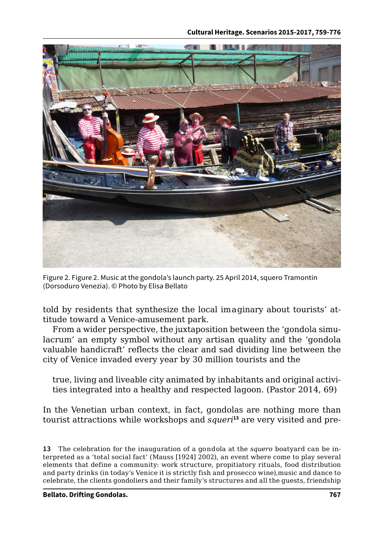

Figure 2. Figure 2. Music at the gondola's launch party. 25 April 2014, squero Tramontin (Dorsoduro Venezia). © Photo by Elisa Bellato

told by residents that synthesize the local imaginary about tourists' attitude toward a Venice-amusement park.

From a wider perspective, the juxtaposition between the 'gondola simulacrum' an empty symbol without any artisan quality and the 'gondola valuable handicraft' reflects the clear and sad dividing line between the city of Venice invaded every year by 30 million tourists and the

true, living and liveable city animated by inhabitants and original activities integrated into a healthy and respected lagoon. (Pastor 2014, 69)

In the Venetian urban context, in fact, gondolas are nothing more than tourist attractions while workshops and *squeri***13** are very visited and pre-

**13** The celebration for the inauguration of a gondola at the *squero* boatyard can be interpreted as a 'total social fact' (Mauss [1924] 2002), an event where come to play several elements that define a community: work structure, propitiatory rituals, food distribution and party drinks (in today's Venice it is strictly fish and prosecco wine),music and dance to celebrate, the clients gondoliers and their family's structures and all the guests, friendship

**Bellato. Drifting Gondolas. 767**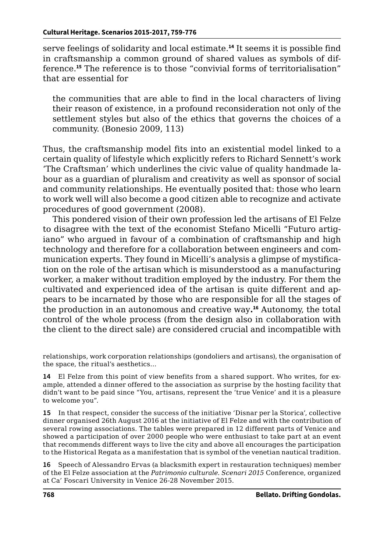serve feelings of solidarity and local estimate.**<sup>14</sup>** It seems it is possible find in craftsmanship a common ground of shared values as symbols of difference.**<sup>15</sup>** The reference is to those "convivial forms of territorialisation" that are essential for

the communities that are able to find in the local characters of living their reason of existence, in a profound reconsideration not only of the settlement styles but also of the ethics that governs the choices of a community. (Bonesio 2009, 113)

Thus, the craftsmanship model fits into an existential model linked to a certain quality of lifestyle which explicitly refers to Richard Sennett's work 'The Craftsman' which underlines the civic value of quality handmade labour as a guardian of pluralism and creativity as well as sponsor of social and community relationships. He eventually posited that: those who learn to work well will also become a good citizen able to recognize and activate procedures of good government (2008).

This pondered vision of their own profession led the artisans of El Felze to disagree with the text of the economist Stefano Micelli "Futuro artigiano" who argued in favour of a combination of craftsmanship and high technology and therefore for a collaboration between engineers and communication experts. They found in Micelli's analysis a glimpse of mystification on the role of the artisan which is misunderstood as a manufacturing worker, a maker without tradition employed by the industry. For them the cultivated and experienced idea of the artisan is quite different and appears to be incarnated by those who are responsible for all the stages of the production in an autonomous and creative way**. <sup>16</sup>** Autonomy, the total control of the whole process (from the design also in collaboration with the client to the direct sale) are considered crucial and incompatible with

relationships, work corporation relationships (gondoliers and artisans), the organisation of the space, the ritual's aesthetics…

**14** El Felze from this point of view benefits from a shared support. Who writes, for example, attended a dinner offered to the association as surprise by the hosting facility that didn't want to be paid since "You, artisans, represent the 'true Venice' and it is a pleasure to welcome you".

**15** In that respect, consider the success of the initiative 'Disnar per la Storica', collective dinner organised 26th August 2016 at the initiative of El Felze and with the contribution of several rowing associations. The tables were prepared in 12 different parts of Venice and showed a participation of over 2000 people who were enthusiast to take part at an event that recommends different ways to live the city and above all encourages the participation to the Historical Regata as a manifestation that is symbol of the venetian nautical tradition.

**16** Speech of Alessandro Ervas (a blacksmith expert in restauration techniques) member of the El Felze association at the *Patrimonio culturale. Scenari 2015* Conference, organized at Ca' Foscari University in Venice 26-28 November 2015.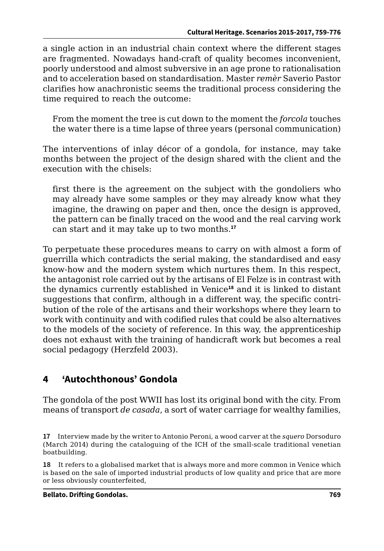a single action in an industrial chain context where the different stages are fragmented. Nowadays hand-craft of quality becomes inconvenient, poorly understood and almost subversive in an age prone to rationalisation and to acceleration based on standardisation. Master *remèr* Saverio Pastor clarifies how anachronistic seems the traditional process considering the time required to reach the outcome:

From the moment the tree is cut down to the moment the *forcola* touches the water there is a time lapse of three years (personal communication)

The interventions of inlay décor of a gondola, for instance, may take months between the project of the design shared with the client and the execution with the chisels:

first there is the agreement on the subject with the gondoliers who may already have some samples or they may already know what they imagine, the drawing on paper and then, once the design is approved, the pattern can be finally traced on the wood and the real carving work can start and it may take up to two months.**<sup>17</sup>**

To perpetuate these procedures means to carry on with almost a form of guerrilla which contradicts the serial making, the standardised and easy know-how and the modern system which nurtures them. In this respect, the antagonist role carried out by the artisans of El Felze is in contrast with the dynamics currently established in Venice**<sup>18</sup>** and it is linked to distant suggestions that confirm, although in a different way, the specific contribution of the role of the artisans and their workshops where they learn to work with continuity and with codified rules that could be also alternatives to the models of the society of reference. In this way, the apprenticeship does not exhaust with the training of handicraft work but becomes a real social pedagogy (Herzfeld 2003).

## **4 'Autochthonous' Gondola**

The gondola of the post WWII has lost its original bond with the city. From means of transport *de casada*, a sort of water carriage for wealthy families,

**18** It refers to a globalised market that is always more and more common in Venice which is based on the sale of imported industrial products of low quality and price that are more or less obviously counterfeited,

**<sup>17</sup>** Interview made by the writer to Antonio Peroni, a wood carver at the *squero* Dorsoduro (March 2014) during the cataloguing of the ICH of the small-scale traditional venetian boatbuilding.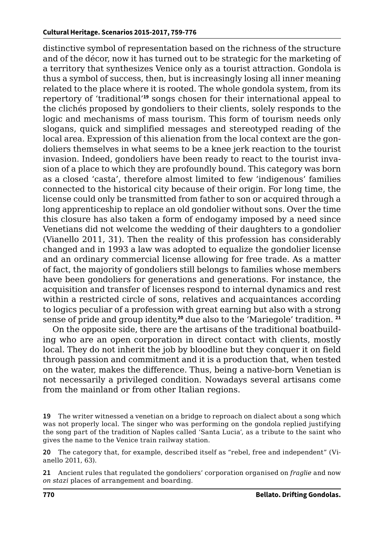distinctive symbol of representation based on the richness of the structure and of the décor, now it has turned out to be strategic for the marketing of a territory that synthesizes Venice only as a tourist attraction. Gondola is thus a symbol of success, then, but is increasingly losing all inner meaning related to the place where it is rooted. The whole gondola system, from its repertory of 'traditional'**<sup>19</sup>** songs chosen for their international appeal to the clichés proposed by gondoliers to their clients, solely responds to the logic and mechanisms of mass tourism. This form of tourism needs only slogans, quick and simplified messages and stereotyped reading of the local area. Expression of this alienation from the local context are the gondoliers themselves in what seems to be a knee jerk reaction to the tourist invasion. Indeed, gondoliers have been ready to react to the tourist invasion of a place to which they are profoundly bound. This category was born as a closed 'casta', therefore almost limited to few 'indigenous' families connected to the historical city because of their origin. For long time, the license could only be transmitted from father to son or acquired through a long apprenticeship to replace an old gondolier without sons. Over the time this closure has also taken a form of endogamy imposed by a need since Venetians did not welcome the wedding of their daughters to a gondolier (Vianello 2011, 31). Then the reality of this profession has considerably changed and in 1993 a law was adopted to equalize the gondolier license and an ordinary commercial license allowing for free trade. As a matter of fact, the majority of gondoliers still belongs to families whose members have been gondoliers for generations and generations. For instance, the acquisition and transfer of licenses respond to internal dynamics and rest within a restricted circle of sons, relatives and acquaintances according to logics peculiar of a profession with great earning but also with a strong sense of pride and group identity,**<sup>20</sup>** due also to the 'Mariegole' tradition. **<sup>21</sup>**

On the opposite side, there are the artisans of the traditional boatbuilding who are an open corporation in direct contact with clients, mostly local. They do not inherit the job by bloodline but they conquer it on field through passion and commitment and it is a production that, when tested on the water, makes the difference. Thus, being a native-born Venetian is not necessarily a privileged condition. Nowadays several artisans come from the mainland or from other Italian regions.

**21** Ancient rules that regulated the gondoliers' corporation organised on *fraglie* and now *on stazi* places of arrangement and boarding.

**<sup>19</sup>** The writer witnessed a venetian on a bridge to reproach on dialect about a song which was not properly local. The singer who was performing on the gondola replied justifying the song part of the tradition of Naples called 'Santa Lucia', as a tribute to the saint who gives the name to the Venice train railway station.

**<sup>20</sup>** The category that, for example, described itself as "rebel, free and independent" (Vianello 2011, 63).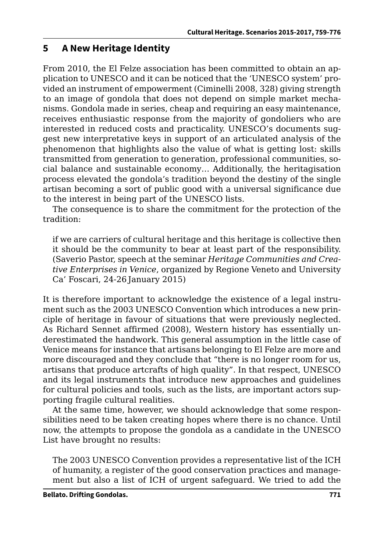### **5 A New Heritage Identity**

From 2010, the El Felze association has been committed to obtain an application to UNESCO and it can be noticed that the 'UNESCO system' provided an instrument of empowerment (Ciminelli 2008, 328) giving strength to an image of gondola that does not depend on simple market mechanisms. Gondola made in series, cheap and requiring an easy maintenance, receives enthusiastic response from the majority of gondoliers who are interested in reduced costs and practicality. UNESCO's documents suggest new interpretative keys in support of an articulated analysis of the phenomenon that highlights also the value of what is getting lost: skills transmitted from generation to generation, professional communities, social balance and sustainable economy… Additionally, the heritagisation process elevated the gondola's tradition beyond the destiny of the single artisan becoming a sort of public good with a universal significance due to the interest in being part of the UNESCO lists.

The consequence is to share the commitment for the protection of the tradition:

if we are carriers of cultural heritage and this heritage is collective then it should be the community to bear at least part of the responsibility. (Saverio Pastor, speech at the seminar *Heritage Communities and Creative Enterprises in Venice*, organized by Regione Veneto and University Ca' Foscari, 24-26 January 2015)

It is therefore important to acknowledge the existence of a legal instrument such as the 2003 UNESCO Convention which introduces a new principle of heritage in favour of situations that were previously neglected. As Richard Sennet affirmed (2008), Western history has essentially underestimated the handwork. This general assumption in the little case of Venice means for instance that artisans belonging to El Felze are more and more discouraged and they conclude that "there is no longer room for us, artisans that produce artcrafts of high quality". In that respect, UNESCO and its legal instruments that introduce new approaches and guidelines for cultural policies and tools, such as the lists, are important actors supporting fragile cultural realities.

At the same time, however, we should acknowledge that some responsibilities need to be taken creating hopes where there is no chance. Until now, the attempts to propose the gondola as a candidate in the UNESCO List have brought no results:

The 2003 UNESCO Convention provides a representative list of the ICH of humanity, a register of the good conservation practices and management but also a list of ICH of urgent safeguard. We tried to add the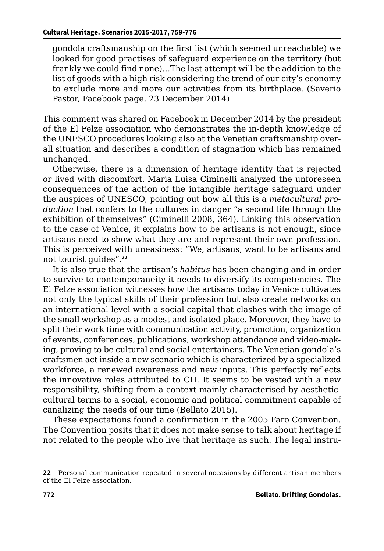gondola craftsmanship on the first list (which seemed unreachable) we looked for good practises of safeguard experience on the territory (but frankly we could find none)…The last attempt will be the addition to the list of goods with a high risk considering the trend of our city's economy to exclude more and more our activities from its birthplace. (Saverio Pastor, Facebook page, 23 December 2014)

This comment was shared on Facebook in December 2014 by the president of the El Felze association who demonstrates the in-depth knowledge of the UNESCO procedures looking also at the Venetian craftsmanship overall situation and describes a condition of stagnation which has remained unchanged.

Otherwise, there is a dimension of heritage identity that is rejected or lived with discomfort. Maria Luisa Ciminelli analyzed the unforeseen consequences of the action of the intangible heritage safeguard under the auspices of UNESCO, pointing out how all this is a *metacultural production* that confers to the cultures in danger "a second life through the exhibition of themselves" (Ciminelli 2008, 364)*.* Linking this observation to the case of Venice, it explains how to be artisans is not enough, since artisans need to show what they are and represent their own profession. This is perceived with uneasiness: "We, artisans, want to be artisans and not tourist guides".**<sup>22</sup>**

It is also true that the artisan's *habitus* has been changing and in order to survive to contemporaneity it needs to diversify its competencies. The El Felze association witnesses how the artisans today in Venice cultivates not only the typical skills of their profession but also create networks on an international level with a social capital that clashes with the image of the small workshop as a modest and isolated place. Moreover, they have to split their work time with communication activity, promotion, organization of events, conferences, publications, workshop attendance and video-making, proving to be cultural and social entertainers. The Venetian gondola's craftsmen act inside a new scenario which is characterized by a specialized workforce, a renewed awareness and new inputs. This perfectly reflects the innovative roles attributed to CH. It seems to be vested with a new responsibility, shifting from a context mainly characterised by aestheticcultural terms to a social, economic and political commitment capable of canalizing the needs of our time (Bellato 2015).

These expectations found a confirmation in the 2005 Faro Convention. The Convention posits that it does not make sense to talk about heritage if not related to the people who live that heritage as such. The legal instru-

**<sup>22</sup>** Personal communication repeated in several occasions by different artisan members of the El Felze association.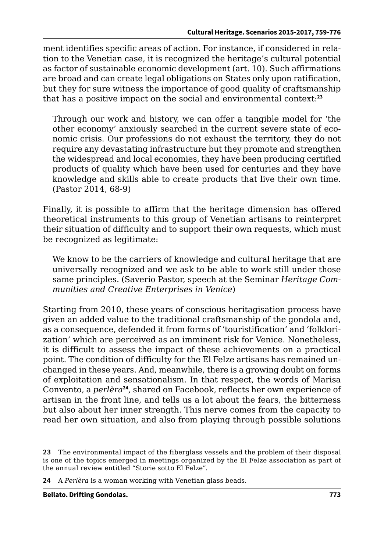ment identifies specific areas of action. For instance, if considered in relation to the Venetian case, it is recognized the heritage's cultural potential as factor of sustainable economic development (art. 10). Such affirmations are broad and can create legal obligations on States only upon ratification, but they for sure witness the importance of good quality of craftsmanship that has a positive impact on the social and environmental context:**<sup>23</sup>**

Through our work and history, we can offer a tangible model for 'the other economy' anxiously searched in the current severe state of economic crisis. Our professions do not exhaust the territory, they do not require any devastating infrastructure but they promote and strengthen the widespread and local economies, they have been producing certified products of quality which have been used for centuries and they have knowledge and skills able to create products that live their own time. (Pastor 2014, 68-9)

Finally, it is possible to affirm that the heritage dimension has offered theoretical instruments to this group of Venetian artisans to reinterpret their situation of difficulty and to support their own requests, which must be recognized as legitimate:

We know to be the carriers of knowledge and cultural heritage that are universally recognized and we ask to be able to work still under those same principles. (Saverio Pastor, speech at the Seminar *Heritage Communities and Creative Enterprises in Venice*)

Starting from 2010, these years of conscious heritagisation process have given an added value to the traditional craftsmanship of the gondola and, as a consequence, defended it from forms of 'touristification' and 'folklorization' which are perceived as an imminent risk for Venice. Nonetheless, it is difficult to assess the impact of these achievements on a practical point. The condition of difficulty for the El Felze artisans has remained unchanged in these years. And, meanwhile, there is a growing doubt on forms of exploitation and sensationalism. In that respect, the words of Marisa Convento, a *perlèra***<sup>24</sup>***,* shared on Facebook, reflects her own experience of artisan in the front line, and tells us a lot about the fears, the bitterness but also about her inner strength. This nerve comes from the capacity to read her own situation, and also from playing through possible solutions

**24** A *Perlèra* is a woman working with Venetian glass beads.

**<sup>23</sup>** The environmental impact of the fiberglass vessels and the problem of their disposal is one of the topics emerged in meetings organized by the El Felze association as part of the annual review entitled "Storie sotto El Felze".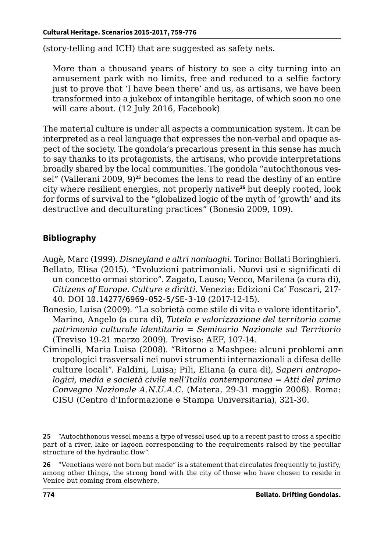(story-telling and ICH) that are suggested as safety nets.

More than a thousand years of history to see a city turning into an amusement park with no limits, free and reduced to a selfie factory just to prove that 'I have been there' and us, as artisans, we have been transformed into a jukebox of intangible heritage, of which soon no one will care about. (12 July 2016, Facebook)

The material culture is under all aspects a communication system. It can be interpreted as a real language that expresses the non-verbal and opaque aspect of the society. The gondola's precarious present in this sense has much to say thanks to its protagonists, the artisans, who provide interpretations broadly shared by the local communities. The gondola "autochthonous vessel" (Vallerani 2009, 9)**<sup>25</sup>** becomes the lens to read the destiny of an entire city where resilient energies, not properly native**<sup>26</sup>** but deeply rooted, look for forms of survival to the "globalized logic of the myth of 'growth' and its destructive and deculturating practices" (Bonesio 2009, 109).

#### **Bibliography**

- Augè, Marc (1999). *Disneyland e altri nonluoghi*. Torino: Bollati Boringhieri. Bellato, Elisa (2015). "Evoluzioni patrimoniali. Nuovi usi e significati di un concetto ormai storico". Zagato, Lauso; Vecco, Marilena (a cura di), *Citizens of Europe. Culture e diritti*. Venezia: Edizioni Ca' Foscari, 217- 40. DOI [10.14277/6969-052-5/SE-3-10](http://edizionicafoscari.unive.it/libri/978-88-6969-054-9/evoluzioni-patrimoniali/) (2017-12-15).
- Bonesio, Luisa (2009). "La sobrietà come stile di vita e valore identitario". Marino, Angelo (a cura di), *Tutela e valorizzazione del territorio come patrimonio culturale identitario = Seminario Nazionale sul Territorio* (Treviso 19-21 marzo 2009). Treviso: AEF, 107-14.
- Ciminelli, Maria Luisa (2008). "Ritorno a Mashpee: alcuni problemi anntropologici trasversali nei nuovi strumenti internazionali a difesa delle culture locali". Faldini, Luisa; Pili, Eliana (a cura di), *Saperi antropologici, media e società civile nell'Italia contemporanea* = *Atti del primo Convegno Nazionale A.N.U.A.C.* (Matera, 29-31 maggio 2008). Roma: CISU (Centro d'Informazione e Stampa Universitaria), 321-30.

**26** "Venetians were not born but made" is a statement that circulates frequently to justify, among other things, the strong bond with the city of those who have chosen to reside in Venice but coming from elsewhere.

**<sup>25</sup>** "Autochthonous vessel means a type of vessel used up to a recent past to cross a specific part of a river, lake or lagoon corresponding to the requirements raised by the peculiar structure of the hydraulic flow".